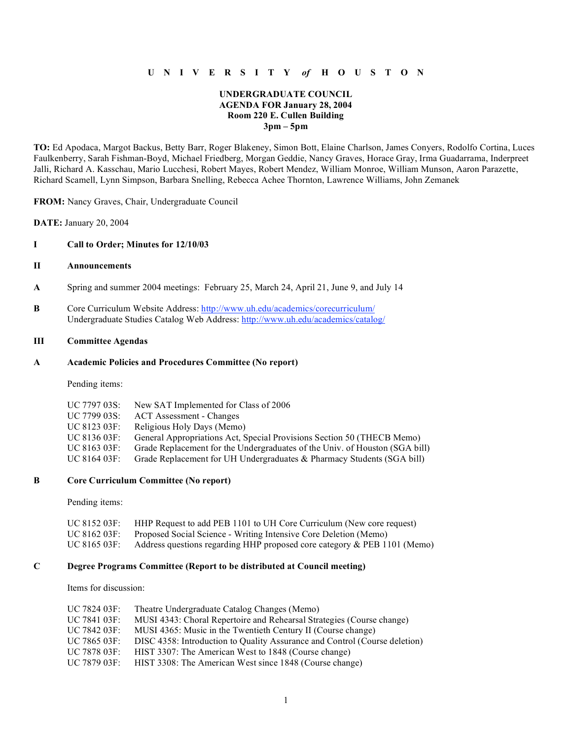## **U N I V E R S I T Y** *of* **H O U S T O N**

#### **UNDERGRADUATE COUNCIL AGENDA FOR January 28, 2004 Room 220 E. Cullen Building 3pm – 5pm**

**TO:** Ed Apodaca, Margot Backus, Betty Barr, Roger Blakeney, Simon Bott, Elaine Charlson, James Conyers, Rodolfo Cortina, Luces Faulkenberry, Sarah Fishman-Boyd, Michael Friedberg, Morgan Geddie, Nancy Graves, Horace Gray, Irma Guadarrama, Inderpreet Jalli, Richard A. Kasschau, Mario Lucchesi, Robert Mayes, Robert Mendez, William Monroe, William Munson, Aaron Parazette, Richard Scamell, Lynn Simpson, Barbara Snelling, Rebecca Achee Thornton, Lawrence Williams, John Zemanek

**FROM:** Nancy Graves, Chair, Undergraduate Council

**DATE:** January 20, 2004

#### **I Call to Order; Minutes for 12/10/03**

#### **II Announcements**

- **A** Spring and summer 2004 meetings: February 25, March 24, April 21, June 9, and July 14
- **B** Core Curriculum Website Address: http://www.uh.edu/academics/corecurriculum/ Undergraduate Studies Catalog Web Address: http://www.uh.edu/academics/catalog/

### **III Committee Agendas**

#### **A Academic Policies and Procedures Committee (No report)**

Pending items:

| UC 7797 03S: | New SAT Implemented for Class of 2006                                       |
|--------------|-----------------------------------------------------------------------------|
| UC 7799 03S: | ACT Assessment - Changes                                                    |
| UC 8123 03F: | Religious Holy Days (Memo)                                                  |
| UC 8136 03F: | General Appropriations Act, Special Provisions Section 50 (THECB Memo)      |
| UC 8163 03F: | Grade Replacement for the Undergraduates of the Univ. of Houston (SGA bill) |
| UC 8164 03F: | Grade Replacement for UH Undergraduates & Pharmacy Students (SGA bill)      |
|              |                                                                             |

#### **B Core Curriculum Committee (No report)**

Pending items:

| UC 8152 03F: | HHP Request to add PEB 1101 to UH Core Curriculum (New core request)     |
|--------------|--------------------------------------------------------------------------|
| UC 8162 03F: | Proposed Social Science - Writing Intensive Core Deletion (Memo)         |
| UC 8165 03F: | Address questions regarding HHP proposed core category & PEB 1101 (Memo) |

## **C Degree Programs Committee (Report to be distributed at Council meeting)**

Items for discussion:

| UC 7824 03F: | Theatre Undergraduate Catalog Changes (Memo)                               |
|--------------|----------------------------------------------------------------------------|
| UC 7841 03F: | MUSI 4343: Choral Repertoire and Rehearsal Strategies (Course change)      |
| UC 7842 03F: | MUSI 4365: Music in the Twentieth Century II (Course change)               |
| UC 7865 03F: | DISC 4358: Introduction to Quality Assurance and Control (Course deletion) |
| UC 7878 03F: | HIST 3307: The American West to 1848 (Course change)                       |
| UC 7879 03F: | HIST 3308: The American West since 1848 (Course change)                    |